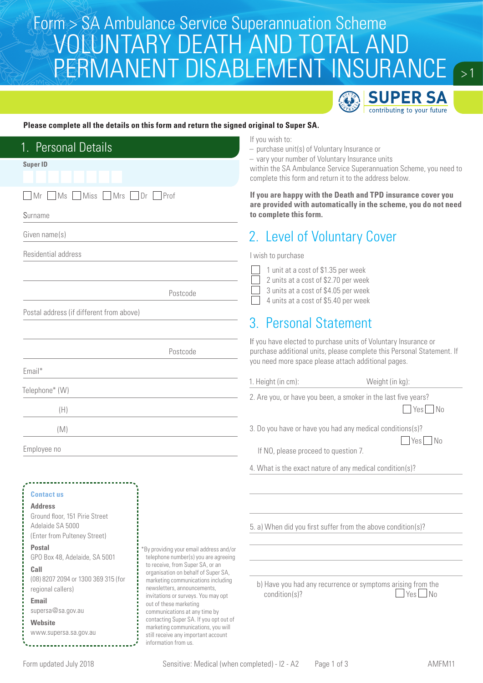### Form > SA Ambulance Service Superannuation Scheme<br>ANOR INITA RV DE ATH AND TOTAL AND VOLUNTARY DEATH AND TOTAL AND PERMANENT DISABLEMENT INSURANCE



 $>1$ 

#### **Please complete all the details on this form and return the signed original to Super SA.**

| 1. Personal Details<br><b>Super ID</b><br>Miss Mrs Dr Prof<br>Mr<br>Ms                                                                                                                                                                                          |                                                                                                                                                                                                                                                                                                 | If you wish to:<br>$-$ purchase unit(s) of Voluntary Insurance or<br>- vary your number of Voluntary Insurance units<br>within the SA Ambulance Service Superannuation Scheme, you need to<br>complete this form and return it to the address below.<br>If you are happy with the Death and TPD insurance cover you |  |  |
|-----------------------------------------------------------------------------------------------------------------------------------------------------------------------------------------------------------------------------------------------------------------|-------------------------------------------------------------------------------------------------------------------------------------------------------------------------------------------------------------------------------------------------------------------------------------------------|---------------------------------------------------------------------------------------------------------------------------------------------------------------------------------------------------------------------------------------------------------------------------------------------------------------------|--|--|
| Surname                                                                                                                                                                                                                                                         |                                                                                                                                                                                                                                                                                                 | are provided with automatically in the scheme, you do not need<br>to complete this form.                                                                                                                                                                                                                            |  |  |
| Given name(s)                                                                                                                                                                                                                                                   |                                                                                                                                                                                                                                                                                                 | 2. Level of Voluntary Cover                                                                                                                                                                                                                                                                                         |  |  |
| Residential address                                                                                                                                                                                                                                             |                                                                                                                                                                                                                                                                                                 | I wish to purchase                                                                                                                                                                                                                                                                                                  |  |  |
| Postal address (if different from above)                                                                                                                                                                                                                        | Postcode                                                                                                                                                                                                                                                                                        | 1 unit at a cost of \$1.35 per week<br>2 units at a cost of \$2.70 per week<br>3 units at a cost of \$4.05 per week<br>4 units at a cost of \$5.40 per week                                                                                                                                                         |  |  |
|                                                                                                                                                                                                                                                                 |                                                                                                                                                                                                                                                                                                 | 3. Personal Statement                                                                                                                                                                                                                                                                                               |  |  |
|                                                                                                                                                                                                                                                                 | Postcode                                                                                                                                                                                                                                                                                        | If you have elected to purchase units of Voluntary Insurance or<br>purchase additional units, please complete this Personal Statement. If<br>you need more space please attach additional pages.                                                                                                                    |  |  |
| Email*                                                                                                                                                                                                                                                          |                                                                                                                                                                                                                                                                                                 | 1. Height (in cm):<br>Weight (in kg):                                                                                                                                                                                                                                                                               |  |  |
| Telephone* (W)<br>(H)                                                                                                                                                                                                                                           |                                                                                                                                                                                                                                                                                                 | 2. Are you, or have you been, a smoker in the last five years?<br>Yes No                                                                                                                                                                                                                                            |  |  |
| (M)                                                                                                                                                                                                                                                             |                                                                                                                                                                                                                                                                                                 | 3. Do you have or have you had any medical conditions(s)?                                                                                                                                                                                                                                                           |  |  |
| Employee no                                                                                                                                                                                                                                                     |                                                                                                                                                                                                                                                                                                 | Yes No<br>If NO, please proceed to question 7.                                                                                                                                                                                                                                                                      |  |  |
|                                                                                                                                                                                                                                                                 |                                                                                                                                                                                                                                                                                                 | 4. What is the exact nature of any medical condition(s)?                                                                                                                                                                                                                                                            |  |  |
| <b>Contact us</b><br><b>Address</b><br>Ground floor, 151 Pirie Street<br>Adelaide SA 5000<br>(Enter from Pulteney Street)<br><b>Postal</b><br>GPO Box 48, Adelaide, SA 5001<br>Call<br>(08) 8207 2094 or 1300 369 315 (for<br>regional callers)<br><b>Email</b> | By providing your email address and/or<br>telephone number(s) you are agreeing<br>to receive, from Super SA, or an<br>organisation on behalf of Super SA,<br>marketing communications including<br>newsletters, announcements,<br>invitations or surveys. You may opt<br>out of these marketing | 5. a) When did you first suffer from the above condition(s)?<br>b) Have you had any recurrence or symptoms arising from the<br>$Yes$ No<br>condition(s)?                                                                                                                                                            |  |  |
| supersa@sa.gov.au<br>Website<br>www.supersa.sa.gov.au                                                                                                                                                                                                           | communications at any time by<br>contacting Super SA. If you opt out of<br>marketing communications, you will<br>still receive any important account<br>information from us.                                                                                                                    |                                                                                                                                                                                                                                                                                                                     |  |  |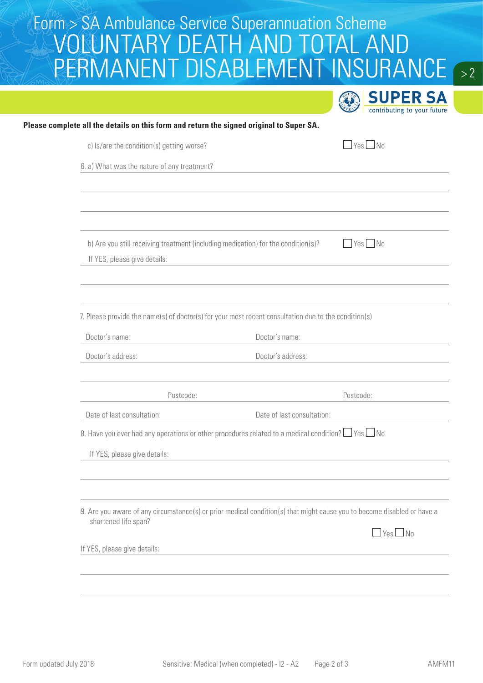# Form > SA Ambulance Service Superannuation Scheme<br>ANOR INITA RV DE ATH AND TOTAL AND VOLUNTARY DEATH AND TOTAL AND PERMANENT DISABLEMENT INSURANCE

 $\sqrt{2}$ 

|                                                                                                              |                                                                                                                         |           | <b>SUPER SA</b><br>contributing to your future |
|--------------------------------------------------------------------------------------------------------------|-------------------------------------------------------------------------------------------------------------------------|-----------|------------------------------------------------|
|                                                                                                              | Please complete all the details on this form and return the signed original to Super SA.                                |           |                                                |
| c) ls/are the condition(s) getting worse?                                                                    |                                                                                                                         |           | $\Box$ Yes $\Box$ No                           |
| 6. a) What was the nature of any treatment?                                                                  |                                                                                                                         |           |                                                |
|                                                                                                              |                                                                                                                         |           |                                                |
| If YES, please give details:                                                                                 | b) Are you still receiving treatment (including medication) for the condition(s)?                                       |           | $Yes$ No                                       |
|                                                                                                              | 7. Please provide the name(s) of doctor(s) for your most recent consultation due to the condition(s)                    |           |                                                |
| Doctor's name:                                                                                               | Doctor's name:                                                                                                          |           |                                                |
| Doctor's address:                                                                                            | Doctor's address:                                                                                                       |           |                                                |
| Postcode:                                                                                                    |                                                                                                                         | Postcode: |                                                |
| Date of last consultation:                                                                                   | Date of last consultation:                                                                                              |           |                                                |
| 8. Have you ever had any operations or other procedures related to a medical condition? $\Box$ Yes $\Box$ No |                                                                                                                         |           |                                                |
| If YES, please give details:                                                                                 |                                                                                                                         |           |                                                |
|                                                                                                              |                                                                                                                         |           |                                                |
| shortened life span?                                                                                         | 9. Are you aware of any circumstance(s) or prior medical condition(s) that might cause you to become disabled or have a |           | $\Box$ Yes $\Box$ No                           |
| If YES, please give details:                                                                                 |                                                                                                                         |           |                                                |
|                                                                                                              |                                                                                                                         |           |                                                |
|                                                                                                              |                                                                                                                         |           |                                                |
|                                                                                                              |                                                                                                                         |           |                                                |